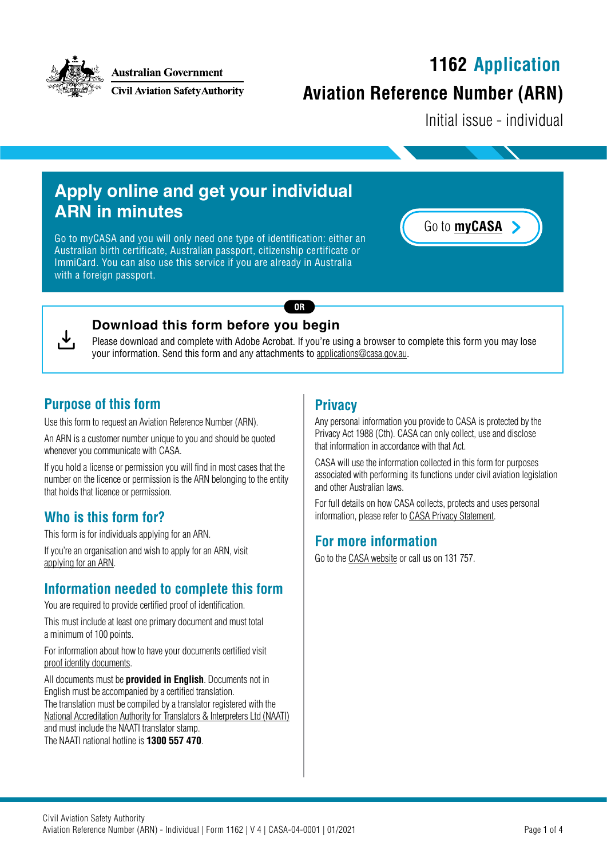

**Australian Government** 

**Civil Aviation Safety Authority** 

# **1162 Application**

## **Aviation Reference Number (ARN)**

Initial issue - individual

## **Apply online and get your individual ARN in minutes**

Go to [myCASA](https://my.casa.gov.au) and you will only need one type of identification: either an Australian birth certificate, Australian passport, citizenship certificate or ImmiCard. You can also use this service if you are already in Australia with a foreign passport.





#### **Download this form before you begin**

Please download and complete with Adobe Acrobat. If you're using a browser to complete this form you may lose your information. Send this form and any attachments to [applications@casa.gov.au](mailto:applications%40casa.gov.au?subject=).

 $OR$ 

#### **Purpose of this form**

Use this form to request an Aviation Reference Number (ARN).

An ARN is a customer number unique to you and should be quoted whenever you communicate with CASA.

If you hold a license or permission you will find in most cases that the number on the licence or permission is the ARN belonging to the entity that holds that licence or permission.

#### **Who is this form for?**

This form is for individuals applying for an ARN.

If you're an organisation and wish to apply for an ARN, visit [applying for an ARN](https://www.casa.gov.au/licences-and-certification/individual-licensing/applying-aviation-reference-number-arn).

#### **Information needed to complete this form**

You are required to provide certified proof of identification.

This must include at least one primary document and must total a minimum of 100 points.

For information about how to have your documents certified visit [proof identity documents.](http://www.casa.gov.au/proof-identity-documents)

All documents must be **provided in English**. Documents not in English must be accompanied by a certified translation. The translation must be compiled by a translator registered with the [National Accreditation Authority for Translators & Interpreters Ltd \(NAATI\)](http://www.naati.com.au) and must include the NAATI translator stamp. The NAATI national hotline is **1300 557 470**.

#### **Privacy**

Any personal information you provide to CASA is protected by the Privacy Act 1988 (Cth). CASA can only collect, use and disclose that information in accordance with that Act.

CASA will use the information collected in this form for purposes associated with performing its functions under civil aviation legislation and other Australian laws.

For full details on how CASA collects, protects and uses personal information, please refer to [CASA Privacy S](https://www.casa.gov.au/about-us/site-information/privacy-statement)tatement.

#### **For more information**

Go to the [CASA website](http://www.casa.gov.au) or call us on 131 757.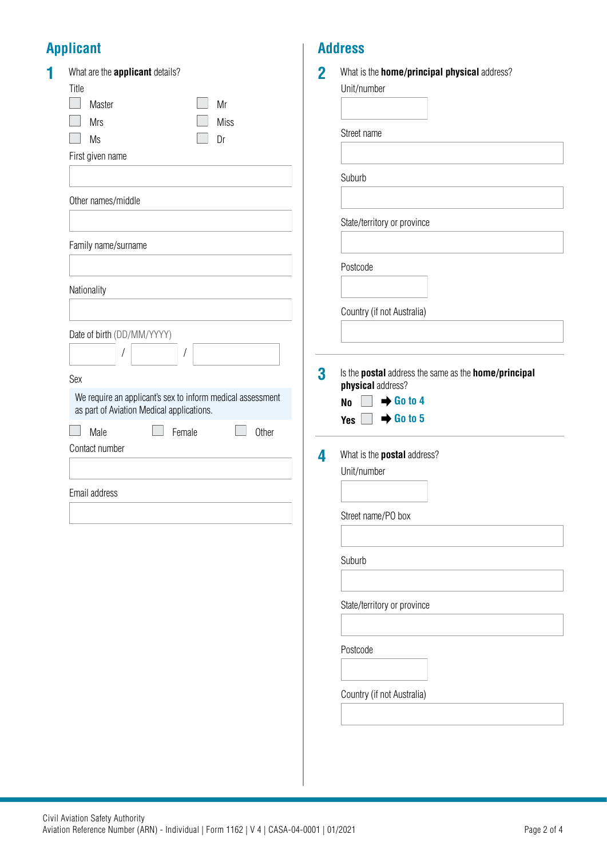## **Applicant**

| What are the <b>applicant</b> details?<br>Title<br>Master<br>Mr<br><b>Miss</b><br><b>Mrs</b><br>Ms<br>Dr | $\overline{2}$<br>What is the <b>home/principal physical</b> address?<br>Unit/number<br>Street name |
|----------------------------------------------------------------------------------------------------------|-----------------------------------------------------------------------------------------------------|
| First given name                                                                                         | Suburb                                                                                              |
| Other names/middle                                                                                       |                                                                                                     |
| Family name/surname                                                                                      | State/territory or province                                                                         |
|                                                                                                          | Postcode                                                                                            |
| Nationality                                                                                              | Country (if not Australia)                                                                          |
| Date of birth (DD/MM/YYYY)                                                                               |                                                                                                     |
| $\prime$<br>Sex                                                                                          | 3<br>Is the postal address the same as the home/principal                                           |
| We require an applicant's sex to inform medical assessment<br>as part of Aviation Medical applications.  | physical address?<br>$\rightarrow$ Go to 4<br><b>No</b>                                             |
| Male<br>Female<br>Other<br>Contact number                                                                | $\rightarrow$ Go to 5<br>Yes $\Box$                                                                 |
|                                                                                                          | What is the <b>postal</b> address?<br>4<br>Unit/number                                              |
| Email address                                                                                            |                                                                                                     |
|                                                                                                          | Street name/PO box                                                                                  |
|                                                                                                          | Suburb                                                                                              |
|                                                                                                          | State/territory or province                                                                         |
|                                                                                                          |                                                                                                     |
|                                                                                                          | Postcode                                                                                            |
|                                                                                                          | Country (if not Australia)                                                                          |
|                                                                                                          |                                                                                                     |

**Address**

I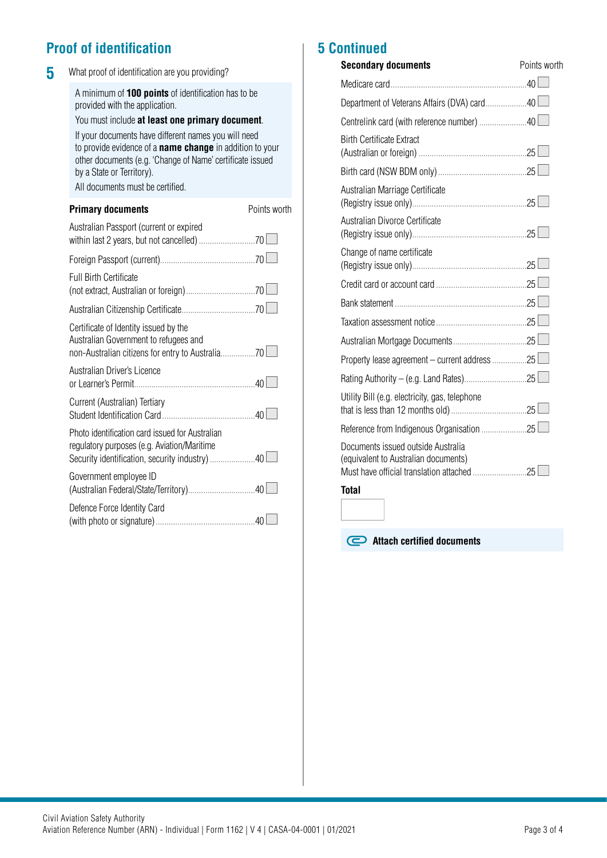### **Proof of identification**

| What proof of identification are you providing?                                                                                                                                                                                                                                                                                                                                                   |              |
|---------------------------------------------------------------------------------------------------------------------------------------------------------------------------------------------------------------------------------------------------------------------------------------------------------------------------------------------------------------------------------------------------|--------------|
| A minimum of 100 points of identification has to be<br>provided with the application.<br>You must include at least one primary document.<br>If your documents have different names you will need<br>to provide evidence of a <b>name change</b> in addition to your<br>other documents (e.g. 'Change of Name' certificate issued<br>by a State or Territory).<br>All documents must be certified. |              |
| <b>Primary documents</b>                                                                                                                                                                                                                                                                                                                                                                          | Points worth |
| Australian Passport (current or expired                                                                                                                                                                                                                                                                                                                                                           |              |
|                                                                                                                                                                                                                                                                                                                                                                                                   |              |
| <b>Full Birth Certificate</b>                                                                                                                                                                                                                                                                                                                                                                     |              |
|                                                                                                                                                                                                                                                                                                                                                                                                   |              |
| Certificate of Identity issued by the<br>Australian Government to refugees and                                                                                                                                                                                                                                                                                                                    |              |
| Australian Driver's Licence                                                                                                                                                                                                                                                                                                                                                                       |              |
| Current (Australian) Tertiary                                                                                                                                                                                                                                                                                                                                                                     |              |
| Photo identification card issued for Australian<br>regulatory purposes (e.g. Aviation/Maritime<br>Security identification, security industry) 40                                                                                                                                                                                                                                                  |              |
| Government employee ID                                                                                                                                                                                                                                                                                                                                                                            |              |
| Defence Force Identity Card                                                                                                                                                                                                                                                                                                                                                                       |              |
|                                                                                                                                                                                                                                                                                                                                                                                                   |              |

### **5 Continued**

| <b>Secondary documents</b>                                                 | Points worth |
|----------------------------------------------------------------------------|--------------|
|                                                                            |              |
| Department of Veterans Affairs (DVA) card40                                |              |
|                                                                            |              |
| <b>Birth Certificate Extract</b>                                           |              |
|                                                                            |              |
| Australian Marriage Certificate                                            |              |
| Australian Divorce Certificate                                             |              |
| Change of name certificate                                                 |              |
|                                                                            |              |
|                                                                            |              |
|                                                                            |              |
|                                                                            |              |
| Property lease agreement - current address 25                              |              |
|                                                                            |              |
| Utility Bill (e.g. electricity, gas, telephone                             |              |
|                                                                            |              |
| Documents issued outside Australia<br>(equivalent to Australian documents) |              |
| <b>Total</b>                                                               |              |

**Attach certified documents**